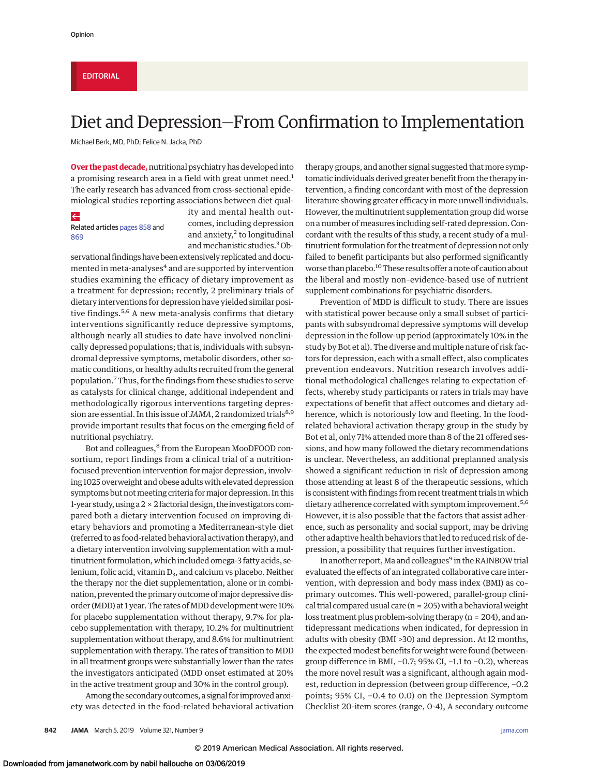## Diet and Depression—From Confirmation to Implementation

Michael Berk, MD, PhD; Felice N. Jacka, PhD

**Over the past decade,** nutritional psychiatry has developed into a promising research area in a field with great unmet need.<sup>1</sup> The early research has advanced from cross-sectional epidemiological studies reporting associations between diet qual-

## $\leftarrow$

Related articles [pages 858](https://jama.jamanetwork.com/article.aspx?doi=10.1001/jama.2019.0556&utm_campaign=articlePDF%26utm_medium=articlePDFlink%26utm_source=articlePDF%26utm_content=jama.2019.0273) and [869](https://jama.jamanetwork.com/article.aspx?doi=10.1001/jama.2019.0557&utm_campaign=articlePDF%26utm_medium=articlePDFlink%26utm_source=articlePDF%26utm_content=jama.2019.0273)

ity and mental health outcomes, including depression and anxiety, $2$  to longitudinal and mechanistic studies.<sup>3</sup> Ob-

servational findings have been extensively replicated and documented in meta-analyses<sup>4</sup> and are supported by intervention studies examining the efficacy of dietary improvement as a treatment for depression; recently, 2 preliminary trials of dietary interventions for depression have yielded similar positive findings.<sup>5,6</sup> A new meta-analysis confirms that dietary interventions significantly reduce depressive symptoms, although nearly all studies to date have involved nonclinically depressed populations; that is, individuals with subsyndromal depressive symptoms, metabolic disorders, other somatic conditions, or healthy adults recruited from the general population.7Thus, for the findings from these studies to serve as catalysts for clinical change, additional independent and methodologically rigorous interventions targeting depression are essential. In this issue of *JAMA*, 2 randomized trials<sup>8,9</sup> provide important results that focus on the emerging field of nutritional psychiatry.

Bot and colleagues,<sup>8</sup> from the European MooDFOOD consortium, report findings from a clinical trial of a nutritionfocused prevention intervention for major depression, involving 1025 overweight and obese adults with elevated depression symptoms but not meeting criteria for major depression. In this 1-year study, using a  $2 \times 2$  factorial design, the investigators compared both a dietary intervention focused on improving dietary behaviors and promoting a Mediterranean-style diet (referred to as food-related behavioral activation therapy), and a dietary intervention involving supplementation with a multinutrient formulation, which included omega-3 fatty acids, selenium, folic acid, vitamin  $D_3$ , and calcium vs placebo. Neither the therapy nor the diet supplementation, alone or in combination, prevented the primary outcome of major depressive disorder (MDD) at 1 year. The rates of MDD development were 10% for placebo supplementation without therapy, 9.7% for placebo supplementation with therapy, 10.2% for multinutrient supplementation without therapy, and 8.6% for multinutrient supplementation with therapy. The rates of transition to MDD in all treatment groups were substantially lower than the rates the investigators anticipated (MDD onset estimated at 20% in the active treatment group and 30% in the control group).

Among the secondary outcomes, a signal for improved anxiety was detected in the food-related behavioral activation therapy groups, and another signal suggested that more symptomatic individuals derived greater benefit from the therapy intervention, a finding concordant with most of the depression literature showing greater efficacy in more unwell individuals. However, the multinutrient supplementation group did worse on a number of measures including self-rated depression. Concordant with the results of this study, a recent study of a multinutrient formulation for the treatment of depression not only failed to benefit participants but also performed significantly worse than placebo.10 These results offer a note of caution about the liberal and mostly non–evidence-based use of nutrient supplement combinations for psychiatric disorders.

Prevention of MDD is difficult to study. There are issues with statistical power because only a small subset of participants with subsyndromal depressive symptoms will develop depression in the follow-up period (approximately 10% in the study by Bot et al). The diverse and multiple nature of risk factors for depression, each with a small effect, also complicates prevention endeavors. Nutrition research involves additional methodological challenges relating to expectation effects, whereby study participants or raters in trials may have expectations of benefit that affect outcomes and dietary adherence, which is notoriously low and fleeting. In the foodrelated behavioral activation therapy group in the study by Bot et al, only 71% attended more than 8 of the 21 offered sessions, and how many followed the dietary recommendations is unclear. Nevertheless, an additional preplanned analysis showed a significant reduction in risk of depression among those attending at least 8 of the therapeutic sessions, which is consistent with findings from recent treatment trials in which dietary adherence correlated with symptom improvement.<sup>5,6</sup> However, it is also possible that the factors that assist adherence, such as personality and social support, may be driving other adaptive health behaviors that led to reduced risk of depression, a possibility that requires further investigation.

In another report, Ma and colleagues<sup>9</sup> in the RAINBOW trial evaluated the effects of an integrated collaborative care intervention, with depression and body mass index (BMI) as co– primary outcomes. This well-powered, parallel-group clinical trial compared usual care (n = 205) with a behavioral weight loss treatment plus problem-solving therapy (n = 204), and antidepressant medications when indicated, for depression in adults with obesity (BMI >30) and depression. At 12 months, the expected modest benefits for weight were found (betweengroup difference in BMI, −0.7; 95% CI, −1.1 to −0.2), whereas the more novel result was a significant, although again modest, reduction in depression (between group difference, −0.2 points; 95% CI, −0.4 to 0.0) on the Depression Symptom Checklist 20-item scores (range, 0-4), A secondary outcome